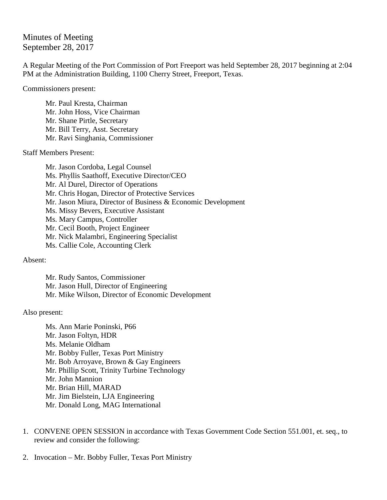Minutes of Meeting September 28, 2017

A Regular Meeting of the Port Commission of Port Freeport was held September 28, 2017 beginning at 2:04 PM at the Administration Building, 1100 Cherry Street, Freeport, Texas.

Commissioners present:

Mr. Paul Kresta, Chairman Mr. John Hoss, Vice Chairman Mr. Shane Pirtle, Secretary Mr. Bill Terry, Asst. Secretary Mr. Ravi Singhania, Commissioner

Staff Members Present:

Mr. Jason Cordoba, Legal Counsel Ms. Phyllis Saathoff, Executive Director/CEO Mr. Al Durel, Director of Operations Mr. Chris Hogan, Director of Protective Services Mr. Jason Miura, Director of Business & Economic Development Ms. Missy Bevers, Executive Assistant Ms. Mary Campus, Controller Mr. Cecil Booth, Project Engineer Mr. Nick Malambri, Engineering Specialist Ms. Callie Cole, Accounting Clerk

Absent:

Mr. Rudy Santos, Commissioner Mr. Jason Hull, Director of Engineering Mr. Mike Wilson, Director of Economic Development

Also present:

Ms. Ann Marie Poninski, P66 Mr. Jason Foltyn, HDR Ms. Melanie Oldham Mr. Bobby Fuller, Texas Port Ministry Mr. Bob Arroyave, Brown & Gay Engineers Mr. Phillip Scott, Trinity Turbine Technology Mr. John Mannion Mr. Brian Hill, MARAD Mr. Jim Bielstein, LJA Engineering Mr. Donald Long, MAG International

- 1. CONVENE OPEN SESSION in accordance with Texas Government Code Section 551.001, et. seq., to review and consider the following:
- 2. Invocation Mr. Bobby Fuller, Texas Port Ministry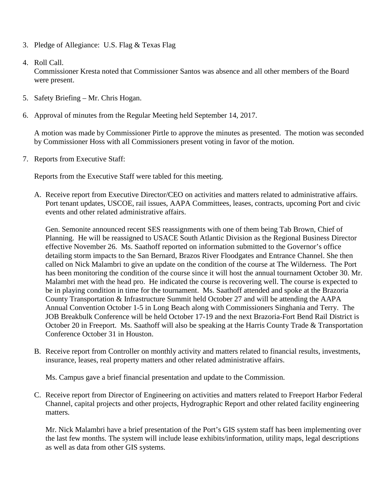- 3. Pledge of Allegiance: U.S. Flag & Texas Flag
- 4. Roll Call.

Commissioner Kresta noted that Commissioner Santos was absence and all other members of the Board were present.

- 5. Safety Briefing Mr. Chris Hogan.
- 6. Approval of minutes from the Regular Meeting held September 14, 2017.

A motion was made by Commissioner Pirtle to approve the minutes as presented. The motion was seconded by Commissioner Hoss with all Commissioners present voting in favor of the motion.

7. Reports from Executive Staff:

Reports from the Executive Staff were tabled for this meeting.

A. Receive report from Executive Director/CEO on activities and matters related to administrative affairs. Port tenant updates, USCOE, rail issues, AAPA Committees, leases, contracts, upcoming Port and civic events and other related administrative affairs.

Gen. Semonite announced recent SES reassignments with one of them being Tab Brown, Chief of Planning. He will be reassigned to USACE South Atlantic Division as the Regional Business Director effective November 26. Ms. Saathoff reported on information submitted to the Governor's office detailing storm impacts to the San Bernard, Brazos River Floodgates and Entrance Channel. She then called on Nick Malambri to give an update on the condition of the course at The Wilderness. The Port has been monitoring the condition of the course since it will host the annual tournament October 30. Mr. Malambri met with the head pro. He indicated the course is recovering well. The course is expected to be in playing condition in time for the tournament. Ms. Saathoff attended and spoke at the Brazoria County Transportation & Infrastructure Summit held October 27 and will be attending the AAPA Annual Convention October 1-5 in Long Beach along with Commissioners Singhania and Terry. The JOB Breakbulk Conference will be held October 17-19 and the next Brazoria-Fort Bend Rail District is October 20 in Freeport. Ms. Saathoff will also be speaking at the Harris County Trade & Transportation Conference October 31 in Houston.

B. Receive report from Controller on monthly activity and matters related to financial results, investments, insurance, leases, real property matters and other related administrative affairs.

Ms. Campus gave a brief financial presentation and update to the Commission.

C. Receive report from Director of Engineering on activities and matters related to Freeport Harbor Federal Channel, capital projects and other projects, Hydrographic Report and other related facility engineering matters.

Mr. Nick Malambri have a brief presentation of the Port's GIS system staff has been implementing over the last few months. The system will include lease exhibits/information, utility maps, legal descriptions as well as data from other GIS systems.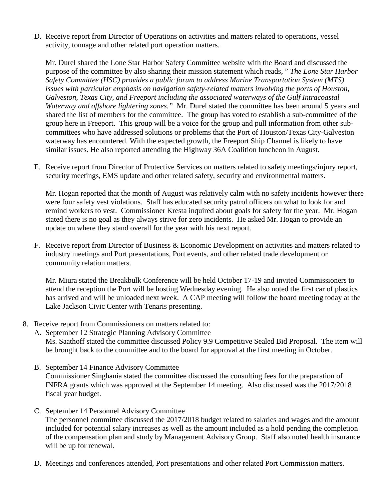D. Receive report from Director of Operations on activities and matters related to operations, vessel activity, tonnage and other related port operation matters.

Mr. Durel shared the Lone Star Harbor Safety Committee website with the Board and discussed the purpose of the committee by also sharing their mission statement which reads, " *The Lone Star Harbor Safety Committee (HSC) provides a public forum to address Marine Transportation System (MTS) issues with particular emphasis on navigation safety-related matters involving the ports of Houston, Galveston, Texas City, and Freeport including the associated waterways of the Gulf Intracoastal Waterway and offshore lightering zones."* Mr. Durel stated the committee has been around 5 years and shared the list of members for the committee. The group has voted to establish a sub-committee of the group here in Freeport. This group will be a voice for the group and pull information from other subcommittees who have addressed solutions or problems that the Port of Houston/Texas City-Galveston waterway has encountered. With the expected growth, the Freeport Ship Channel is likely to have similar issues. He also reported attending the Highway 36A Coalition luncheon in August.

E. Receive report from Director of Protective Services on matters related to safety meetings/injury report, security meetings, EMS update and other related safety, security and environmental matters.

Mr. Hogan reported that the month of August was relatively calm with no safety incidents however there were four safety vest violations. Staff has educated security patrol officers on what to look for and remind workers to vest. Commissioner Kresta inquired about goals for safety for the year. Mr. Hogan stated there is no goal as they always strive for zero incidents. He asked Mr. Hogan to provide an update on where they stand overall for the year with his next report.

F. Receive report from Director of Business & Economic Development on activities and matters related to industry meetings and Port presentations, Port events, and other related trade development or community relation matters.

Mr. Miura stated the Breakbulk Conference will be held October 17-19 and invited Commissioners to attend the reception the Port will be hosting Wednesday evening. He also noted the first car of plastics has arrived and will be unloaded next week. A CAP meeting will follow the board meeting today at the Lake Jackson Civic Center with Tenaris presenting.

- 8. Receive report from Commissioners on matters related to:
	- A. September 12 Strategic Planning Advisory Committee Ms. Saathoff stated the committee discussed Policy 9.9 Competitive Sealed Bid Proposal. The item will be brought back to the committee and to the board for approval at the first meeting in October.
	- B. September 14 Finance Advisory Committee Commissioner Singhania stated the committee discussed the consulting fees for the preparation of INFRA grants which was approved at the September 14 meeting. Also discussed was the 2017/2018 fiscal year budget.
	- C. September 14 Personnel Advisory Committee

The personnel committee discussed the 2017/2018 budget related to salaries and wages and the amount included for potential salary increases as well as the amount included as a hold pending the completion of the compensation plan and study by Management Advisory Group. Staff also noted health insurance will be up for renewal.

D. Meetings and conferences attended, Port presentations and other related Port Commission matters.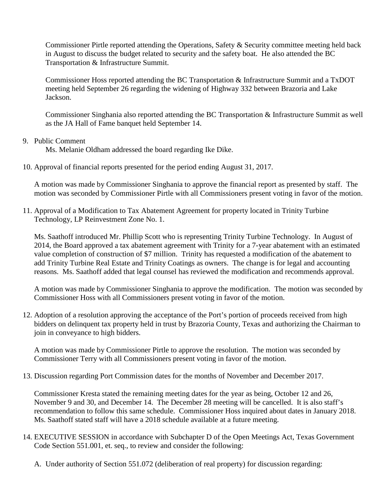Commissioner Pirtle reported attending the Operations, Safety & Security committee meeting held back in August to discuss the budget related to security and the safety boat. He also attended the BC Transportation & Infrastructure Summit.

Commissioner Hoss reported attending the BC Transportation & Infrastructure Summit and a TxDOT meeting held September 26 regarding the widening of Highway 332 between Brazoria and Lake Jackson.

Commissioner Singhania also reported attending the BC Transportation & Infrastructure Summit as well as the JA Hall of Fame banquet held September 14.

## 9. Public Comment

Ms. Melanie Oldham addressed the board regarding Ike Dike.

10. Approval of financial reports presented for the period ending August 31, 2017.

A motion was made by Commissioner Singhania to approve the financial report as presented by staff. The motion was seconded by Commissioner Pirtle with all Commissioners present voting in favor of the motion.

11. Approval of a Modification to Tax Abatement Agreement for property located in Trinity Turbine Technology, LP Reinvestment Zone No. 1.

Ms. Saathoff introduced Mr. Phillip Scott who is representing Trinity Turbine Technology. In August of 2014, the Board approved a tax abatement agreement with Trinity for a 7-year abatement with an estimated value completion of construction of \$7 million. Trinity has requested a modification of the abatement to add Trinity Turbine Real Estate and Trinity Coatings as owners. The change is for legal and accounting reasons. Ms. Saathoff added that legal counsel has reviewed the modification and recommends approval.

A motion was made by Commissioner Singhania to approve the modification. The motion was seconded by Commissioner Hoss with all Commissioners present voting in favor of the motion.

12. Adoption of a resolution approving the acceptance of the Port's portion of proceeds received from high bidders on delinquent tax property held in trust by Brazoria County, Texas and authorizing the Chairman to join in conveyance to high bidders.

A motion was made by Commissioner Pirtle to approve the resolution. The motion was seconded by Commissioner Terry with all Commissioners present voting in favor of the motion.

13. Discussion regarding Port Commission dates for the months of November and December 2017.

Commissioner Kresta stated the remaining meeting dates for the year as being, October 12 and 26, November 9 and 30, and December 14. The December 28 meeting will be cancelled. It is also staff's recommendation to follow this same schedule. Commissioner Hoss inquired about dates in January 2018. Ms. Saathoff stated staff will have a 2018 schedule available at a future meeting.

- 14. EXECUTIVE SESSION in accordance with Subchapter D of the Open Meetings Act, Texas Government Code Section 551.001, et. seq., to review and consider the following:
	- A. Under authority of Section 551.072 (deliberation of real property) for discussion regarding: